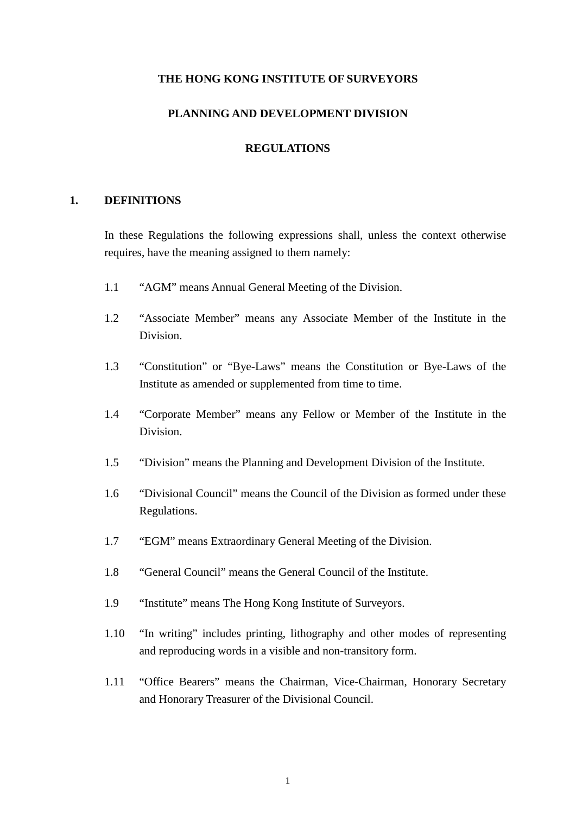#### **THE HONG KONG INSTITUTE OF SURVEYORS**

# **PLANNING AND DEVELOPMENT DIVISION**

### **REGULATIONS**

### **1. DEFINITIONS**

In these Regulations the following expressions shall, unless the context otherwise requires, have the meaning assigned to them namely:

- 1.1 "AGM" means Annual General Meeting of the Division.
- 1.2 "Associate Member" means any Associate Member of the Institute in the Division.
- 1.3 "Constitution" or "Bye-Laws" means the Constitution or Bye-Laws of the Institute as amended or supplemented from time to time.
- 1.4 "Corporate Member" means any Fellow or Member of the Institute in the Division.
- 1.5 "Division" means the Planning and Development Division of the Institute.
- 1.6 "Divisional Council" means the Council of the Division as formed under these Regulations.
- 1.7 "EGM" means Extraordinary General Meeting of the Division.
- 1.8 "General Council" means the General Council of the Institute.
- 1.9 "Institute" means The Hong Kong Institute of Surveyors.
- 1.10 "In writing" includes printing, lithography and other modes of representing and reproducing words in a visible and non-transitory form.
- 1.11 "Office Bearers" means the Chairman, Vice-Chairman, Honorary Secretary and Honorary Treasurer of the Divisional Council.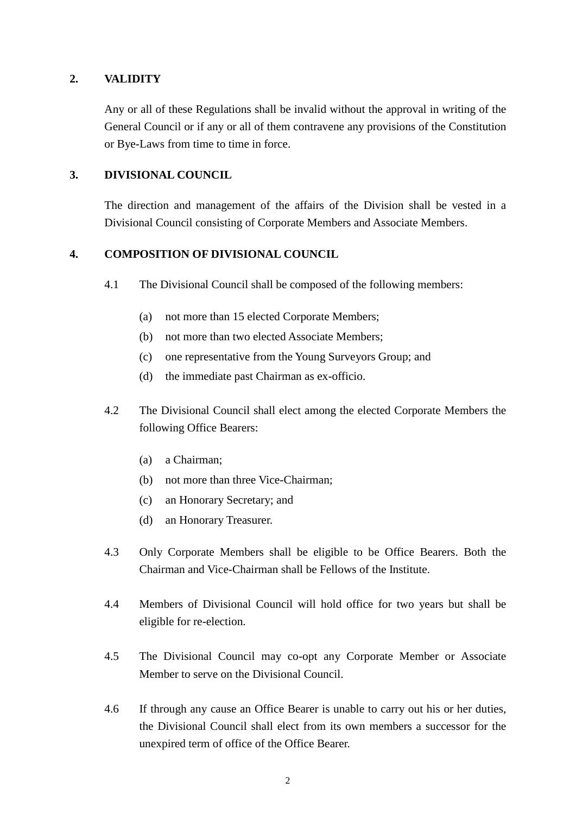## **2. VALIDITY**

Any or all of these Regulations shall be invalid without the approval in writing of the General Council or if any or all of them contravene any provisions of the Constitution or Bye-Laws from time to time in force.

### **3. DIVISIONAL COUNCIL**

The direction and management of the affairs of the Division shall be vested in a Divisional Council consisting of Corporate Members and Associate Members.

### **4. COMPOSITION OF DIVISIONAL COUNCIL**

- 4.1 The Divisional Council shall be composed of the following members:
	- (a) not more than 15 elected Corporate Members;
	- (b) not more than two elected Associate Members;
	- (c) one representative from the Young Surveyors Group; and
	- (d) the immediate past Chairman as ex-officio.
- 4.2 The Divisional Council shall elect among the elected Corporate Members the following Office Bearers:
	- (a) a Chairman;
	- (b) not more than three Vice-Chairman;
	- (c) an Honorary Secretary; and
	- (d) an Honorary Treasurer.
- 4.3 Only Corporate Members shall be eligible to be Office Bearers. Both the Chairman and Vice-Chairman shall be Fellows of the Institute.
- 4.4 Members of Divisional Council will hold office for two years but shall be eligible for re-election.
- 4.5 The Divisional Council may co-opt any Corporate Member or Associate Member to serve on the Divisional Council.
- 4.6 If through any cause an Office Bearer is unable to carry out his or her duties, the Divisional Council shall elect from its own members a successor for the unexpired term of office of the Office Bearer.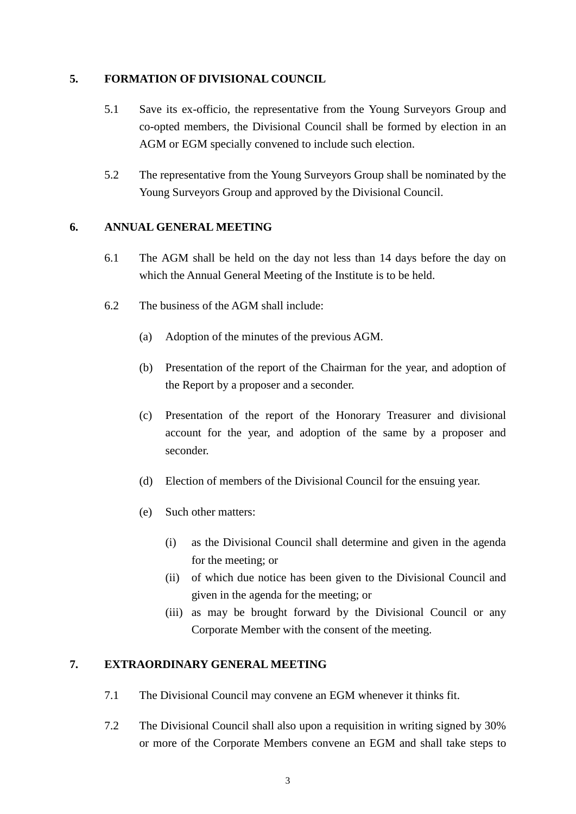## **5. FORMATION OF DIVISIONAL COUNCIL**

- 5.1 Save its ex-officio, the representative from the Young Surveyors Group and co-opted members, the Divisional Council shall be formed by election in an AGM or EGM specially convened to include such election.
- 5.2 The representative from the Young Surveyors Group shall be nominated by the Young Surveyors Group and approved by the Divisional Council.

## **6. ANNUAL GENERAL MEETING**

- 6.1 The AGM shall be held on the day not less than 14 days before the day on which the Annual General Meeting of the Institute is to be held.
- 6.2 The business of the AGM shall include:
	- (a) Adoption of the minutes of the previous AGM.
	- (b) Presentation of the report of the Chairman for the year, and adoption of the Report by a proposer and a seconder.
	- (c) Presentation of the report of the Honorary Treasurer and divisional account for the year, and adoption of the same by a proposer and seconder.
	- (d) Election of members of the Divisional Council for the ensuing year.
	- (e) Such other matters:
		- (i) as the Divisional Council shall determine and given in the agenda for the meeting; or
		- (ii) of which due notice has been given to the Divisional Council and given in the agenda for the meeting; or
		- (iii) as may be brought forward by the Divisional Council or any Corporate Member with the consent of the meeting.

# **7. EXTRAORDINARY GENERAL MEETING**

- 7.1 The Divisional Council may convene an EGM whenever it thinks fit.
- 7.2 The Divisional Council shall also upon a requisition in writing signed by 30% or more of the Corporate Members convene an EGM and shall take steps to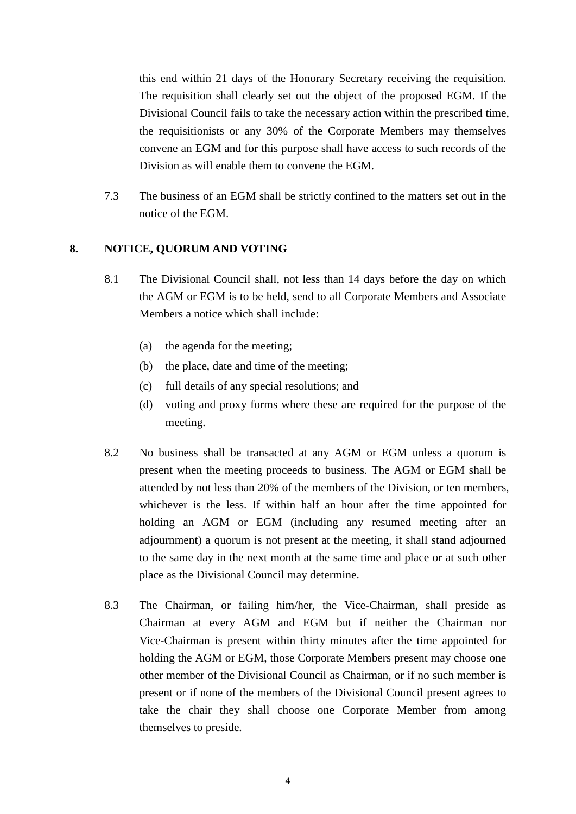this end within 21 days of the Honorary Secretary receiving the requisition. The requisition shall clearly set out the object of the proposed EGM. If the Divisional Council fails to take the necessary action within the prescribed time, the requisitionists or any 30% of the Corporate Members may themselves convene an EGM and for this purpose shall have access to such records of the Division as will enable them to convene the EGM.

7.3 The business of an EGM shall be strictly confined to the matters set out in the notice of the EGM.

## **8. NOTICE, QUORUM AND VOTING**

- 8.1 The Divisional Council shall, not less than 14 days before the day on which the AGM or EGM is to be held, send to all Corporate Members and Associate Members a notice which shall include:
	- (a) the agenda for the meeting;
	- (b) the place, date and time of the meeting;
	- (c) full details of any special resolutions; and
	- (d) voting and proxy forms where these are required for the purpose of the meeting.
- 8.2 No business shall be transacted at any AGM or EGM unless a quorum is present when the meeting proceeds to business. The AGM or EGM shall be attended by not less than 20% of the members of the Division, or ten members, whichever is the less. If within half an hour after the time appointed for holding an AGM or EGM (including any resumed meeting after an adjournment) a quorum is not present at the meeting, it shall stand adjourned to the same day in the next month at the same time and place or at such other place as the Divisional Council may determine.
- 8.3 The Chairman, or failing him/her, the Vice-Chairman, shall preside as Chairman at every AGM and EGM but if neither the Chairman nor Vice-Chairman is present within thirty minutes after the time appointed for holding the AGM or EGM, those Corporate Members present may choose one other member of the Divisional Council as Chairman, or if no such member is present or if none of the members of the Divisional Council present agrees to take the chair they shall choose one Corporate Member from among themselves to preside.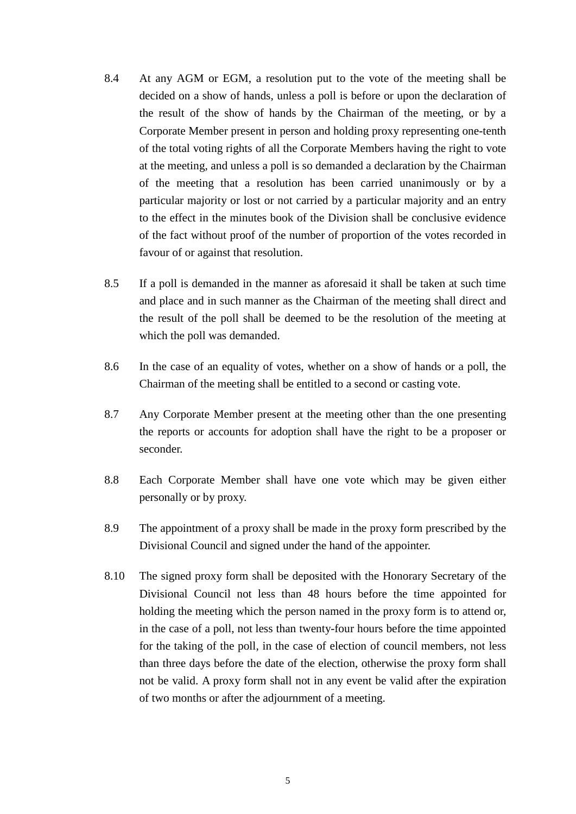- 8.4 At any AGM or EGM, a resolution put to the vote of the meeting shall be decided on a show of hands, unless a poll is before or upon the declaration of the result of the show of hands by the Chairman of the meeting, or by a Corporate Member present in person and holding proxy representing one-tenth of the total voting rights of all the Corporate Members having the right to vote at the meeting, and unless a poll is so demanded a declaration by the Chairman of the meeting that a resolution has been carried unanimously or by a particular majority or lost or not carried by a particular majority and an entry to the effect in the minutes book of the Division shall be conclusive evidence of the fact without proof of the number of proportion of the votes recorded in favour of or against that resolution.
- 8.5 If a poll is demanded in the manner as aforesaid it shall be taken at such time and place and in such manner as the Chairman of the meeting shall direct and the result of the poll shall be deemed to be the resolution of the meeting at which the poll was demanded.
- 8.6 In the case of an equality of votes, whether on a show of hands or a poll, the Chairman of the meeting shall be entitled to a second or casting vote.
- 8.7 Any Corporate Member present at the meeting other than the one presenting the reports or accounts for adoption shall have the right to be a proposer or seconder.
- 8.8 Each Corporate Member shall have one vote which may be given either personally or by proxy.
- 8.9 The appointment of a proxy shall be made in the proxy form prescribed by the Divisional Council and signed under the hand of the appointer.
- 8.10 The signed proxy form shall be deposited with the Honorary Secretary of the Divisional Council not less than 48 hours before the time appointed for holding the meeting which the person named in the proxy form is to attend or, in the case of a poll, not less than twenty-four hours before the time appointed for the taking of the poll, in the case of election of council members, not less than three days before the date of the election, otherwise the proxy form shall not be valid. A proxy form shall not in any event be valid after the expiration of two months or after the adjournment of a meeting.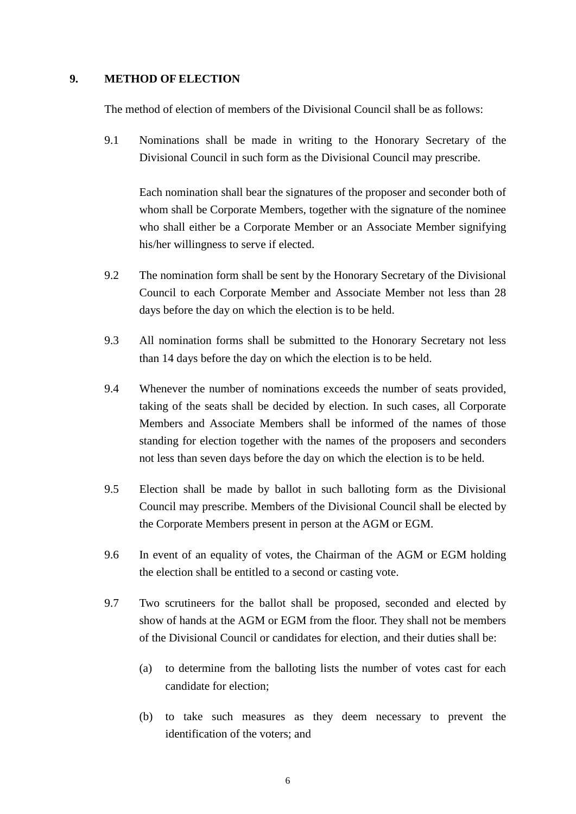### **9. METHOD OF ELECTION**

The method of election of members of the Divisional Council shall be as follows:

9.1 Nominations shall be made in writing to the Honorary Secretary of the Divisional Council in such form as the Divisional Council may prescribe.

Each nomination shall bear the signatures of the proposer and seconder both of whom shall be Corporate Members, together with the signature of the nominee who shall either be a Corporate Member or an Associate Member signifying his/her willingness to serve if elected.

- 9.2 The nomination form shall be sent by the Honorary Secretary of the Divisional Council to each Corporate Member and Associate Member not less than 28 days before the day on which the election is to be held.
- 9.3 All nomination forms shall be submitted to the Honorary Secretary not less than 14 days before the day on which the election is to be held.
- 9.4 Whenever the number of nominations exceeds the number of seats provided, taking of the seats shall be decided by election. In such cases, all Corporate Members and Associate Members shall be informed of the names of those standing for election together with the names of the proposers and seconders not less than seven days before the day on which the election is to be held.
- 9.5 Election shall be made by ballot in such balloting form as the Divisional Council may prescribe. Members of the Divisional Council shall be elected by the Corporate Members present in person at the AGM or EGM.
- 9.6 In event of an equality of votes, the Chairman of the AGM or EGM holding the election shall be entitled to a second or casting vote.
- 9.7 Two scrutineers for the ballot shall be proposed, seconded and elected by show of hands at the AGM or EGM from the floor. They shall not be members of the Divisional Council or candidates for election, and their duties shall be:
	- (a) to determine from the balloting lists the number of votes cast for each candidate for election;
	- (b) to take such measures as they deem necessary to prevent the identification of the voters; and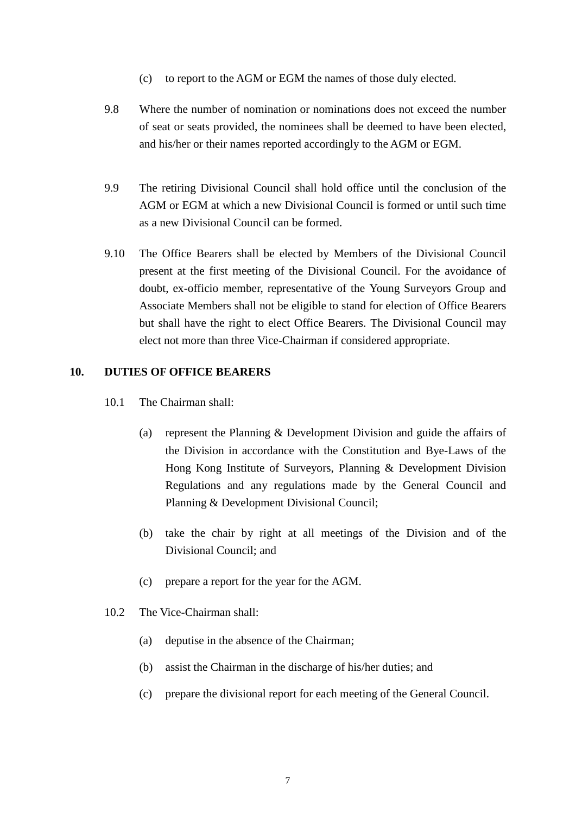- (c) to report to the AGM or EGM the names of those duly elected.
- 9.8 Where the number of nomination or nominations does not exceed the number of seat or seats provided, the nominees shall be deemed to have been elected, and his/her or their names reported accordingly to the AGM or EGM.
- 9.9 The retiring Divisional Council shall hold office until the conclusion of the AGM or EGM at which a new Divisional Council is formed or until such time as a new Divisional Council can be formed.
- 9.10 The Office Bearers shall be elected by Members of the Divisional Council present at the first meeting of the Divisional Council. For the avoidance of doubt, ex-officio member, representative of the Young Surveyors Group and Associate Members shall not be eligible to stand for election of Office Bearers but shall have the right to elect Office Bearers. The Divisional Council may elect not more than three Vice-Chairman if considered appropriate.

### **10. DUTIES OF OFFICE BEARERS**

- 10.1 The Chairman shall:
	- (a) represent the Planning & Development Division and guide the affairs of the Division in accordance with the Constitution and Bye-Laws of the Hong Kong Institute of Surveyors, Planning & Development Division Regulations and any regulations made by the General Council and Planning & Development Divisional Council;
	- (b) take the chair by right at all meetings of the Division and of the Divisional Council; and
	- (c) prepare a report for the year for the AGM.
- 10.2 The Vice-Chairman shall:
	- (a) deputise in the absence of the Chairman;
	- (b) assist the Chairman in the discharge of his/her duties; and
	- (c) prepare the divisional report for each meeting of the General Council.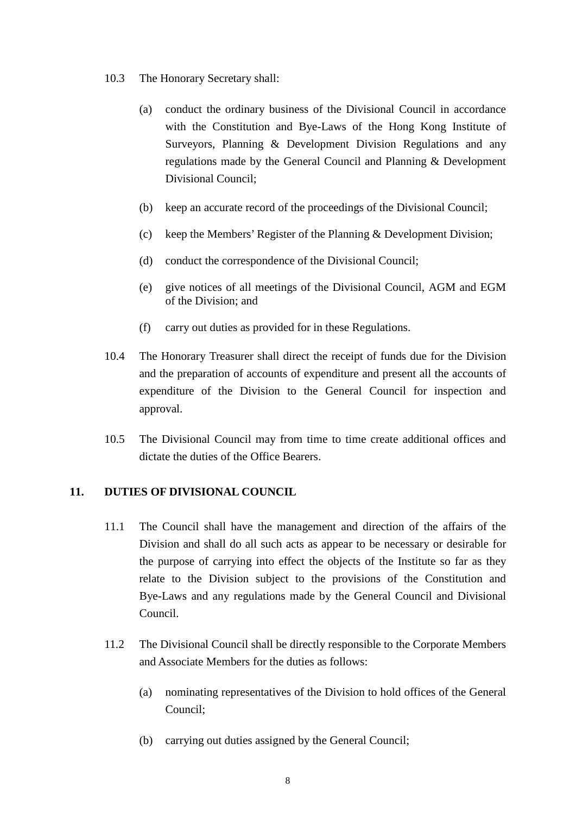- 10.3 The Honorary Secretary shall:
	- (a) conduct the ordinary business of the Divisional Council in accordance with the Constitution and Bye-Laws of the Hong Kong Institute of Surveyors, Planning & Development Division Regulations and any regulations made by the General Council and Planning & Development Divisional Council;
	- (b) keep an accurate record of the proceedings of the Divisional Council;
	- (c) keep the Members' Register of the Planning & Development Division;
	- (d) conduct the correspondence of the Divisional Council;
	- (e) give notices of all meetings of the Divisional Council, AGM and EGM of the Division; and
	- (f) carry out duties as provided for in these Regulations.
- 10.4 The Honorary Treasurer shall direct the receipt of funds due for the Division and the preparation of accounts of expenditure and present all the accounts of expenditure of the Division to the General Council for inspection and approval.
- 10.5 The Divisional Council may from time to time create additional offices and dictate the duties of the Office Bearers.

### **11. DUTIES OF DIVISIONAL COUNCIL**

- 11.1 The Council shall have the management and direction of the affairs of the Division and shall do all such acts as appear to be necessary or desirable for the purpose of carrying into effect the objects of the Institute so far as they relate to the Division subject to the provisions of the Constitution and Bye-Laws and any regulations made by the General Council and Divisional Council.
- 11.2 The Divisional Council shall be directly responsible to the Corporate Members and Associate Members for the duties as follows:
	- (a) nominating representatives of the Division to hold offices of the General Council;
	- (b) carrying out duties assigned by the General Council;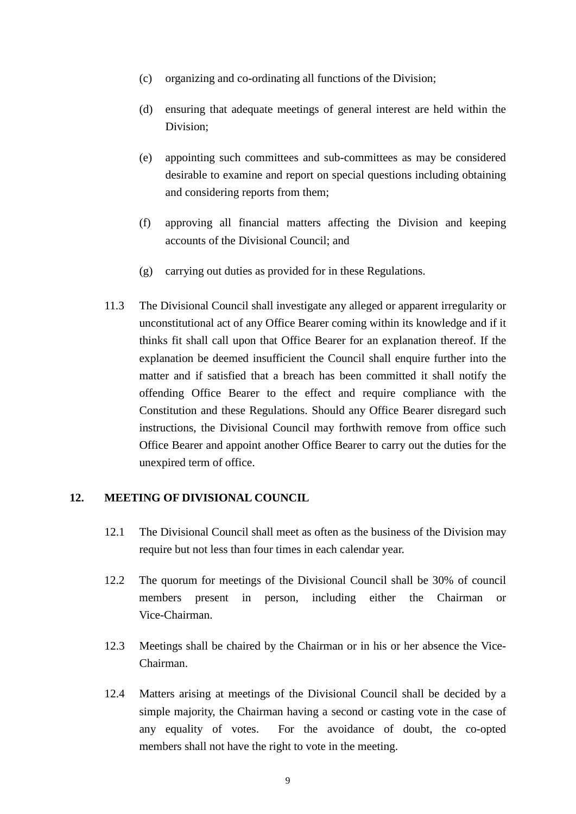- (c) organizing and co-ordinating all functions of the Division;
- (d) ensuring that adequate meetings of general interest are held within the Division;
- (e) appointing such committees and sub-committees as may be considered desirable to examine and report on special questions including obtaining and considering reports from them;
- (f) approving all financial matters affecting the Division and keeping accounts of the Divisional Council; and
- (g) carrying out duties as provided for in these Regulations.
- 11.3 The Divisional Council shall investigate any alleged or apparent irregularity or unconstitutional act of any Office Bearer coming within its knowledge and if it thinks fit shall call upon that Office Bearer for an explanation thereof. If the explanation be deemed insufficient the Council shall enquire further into the matter and if satisfied that a breach has been committed it shall notify the offending Office Bearer to the effect and require compliance with the Constitution and these Regulations. Should any Office Bearer disregard such instructions, the Divisional Council may forthwith remove from office such Office Bearer and appoint another Office Bearer to carry out the duties for the unexpired term of office.

### **12. MEETING OF DIVISIONAL COUNCIL**

- 12.1 The Divisional Council shall meet as often as the business of the Division may require but not less than four times in each calendar year.
- 12.2 The quorum for meetings of the Divisional Council shall be 30% of council members present in person, including either the Chairman or Vice-Chairman.
- 12.3 Meetings shall be chaired by the Chairman or in his or her absence the Vice-Chairman.
- 12.4 Matters arising at meetings of the Divisional Council shall be decided by a simple majority, the Chairman having a second or casting vote in the case of any equality of votes. For the avoidance of doubt, the co-opted members shall not have the right to vote in the meeting.